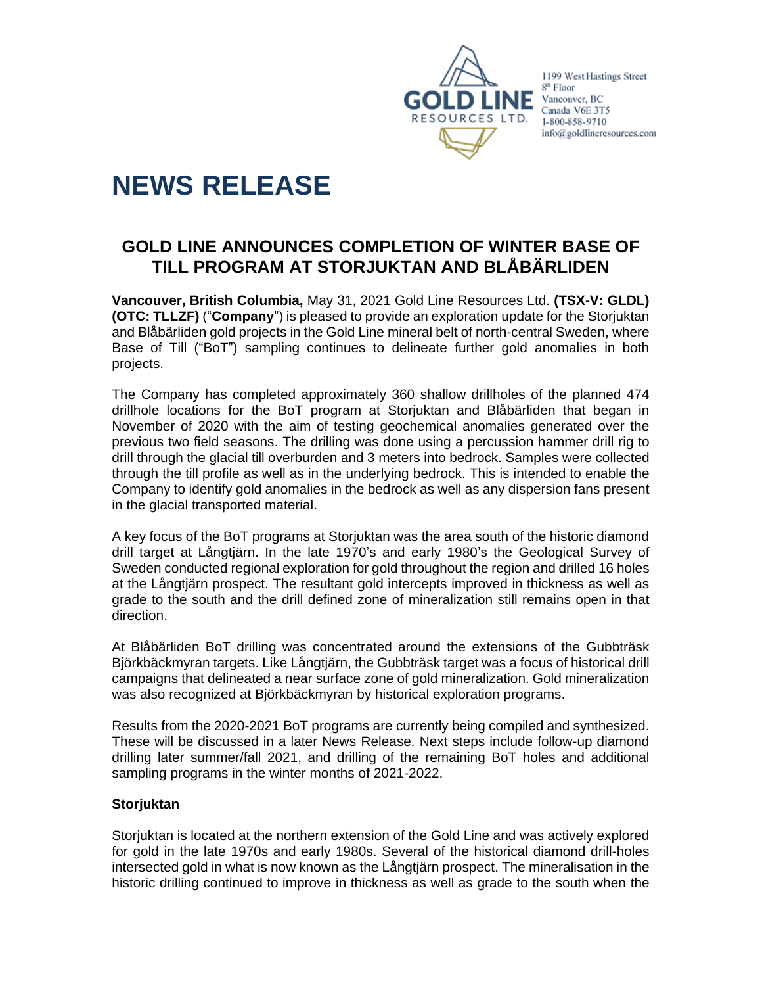

1199 West Hastings Street 8<sup>th</sup> Floor Vancouver, BC Canada V6E 3T5 1-800-858-9710 info@goldlineresources.com

# **NEWS RELEASE**

# **GOLD LINE ANNOUNCES COMPLETION OF WINTER BASE OF TILL PROGRAM AT STORJUKTAN AND BLÅBÄRLIDEN**

**Vancouver, British Columbia,** May 31, 2021 Gold Line Resources Ltd. **(TSX-V: GLDL) (OTC: TLLZF)** ("**Company**") is pleased to provide an exploration update for the Storjuktan and Blåbärliden gold projects in the Gold Line mineral belt of north-central Sweden, where Base of Till ("BoT") sampling continues to delineate further gold anomalies in both projects.

The Company has completed approximately 360 shallow drillholes of the planned 474 drillhole locations for the BoT program at Storjuktan and Blåbärliden that began in November of 2020 with the aim of testing geochemical anomalies generated over the previous two field seasons. The drilling was done using a percussion hammer drill rig to drill through the glacial till overburden and 3 meters into bedrock. Samples were collected through the till profile as well as in the underlying bedrock. This is intended to enable the Company to identify gold anomalies in the bedrock as well as any dispersion fans present in the glacial transported material.

A key focus of the BoT programs at Storjuktan was the area south of the historic diamond drill target at Långtjärn. In the late 1970's and early 1980's the Geological Survey of Sweden conducted regional exploration for gold throughout the region and drilled 16 holes at the Långtjärn prospect. The resultant gold intercepts improved in thickness as well as grade to the south and the drill defined zone of mineralization still remains open in that direction.

At Blåbärliden BoT drilling was concentrated around the extensions of the Gubbträsk Björkbäckmyran targets. Like Långtjärn, the Gubbträsk target was a focus of historical drill campaigns that delineated a near surface zone of gold mineralization. Gold mineralization was also recognized at Björkbäckmyran by historical exploration programs.

Results from the 2020-2021 BoT programs are currently being compiled and synthesized. These will be discussed in a later News Release. Next steps include follow-up diamond drilling later summer/fall 2021, and drilling of the remaining BoT holes and additional sampling programs in the winter months of 2021-2022.

# **Storjuktan**

Storjuktan is located at the northern extension of the Gold Line and was actively explored for gold in the late 1970s and early 1980s. Several of the historical diamond drill-holes intersected gold in what is now known as the Långtjärn prospect. The mineralisation in the historic drilling continued to improve in thickness as well as grade to the south when the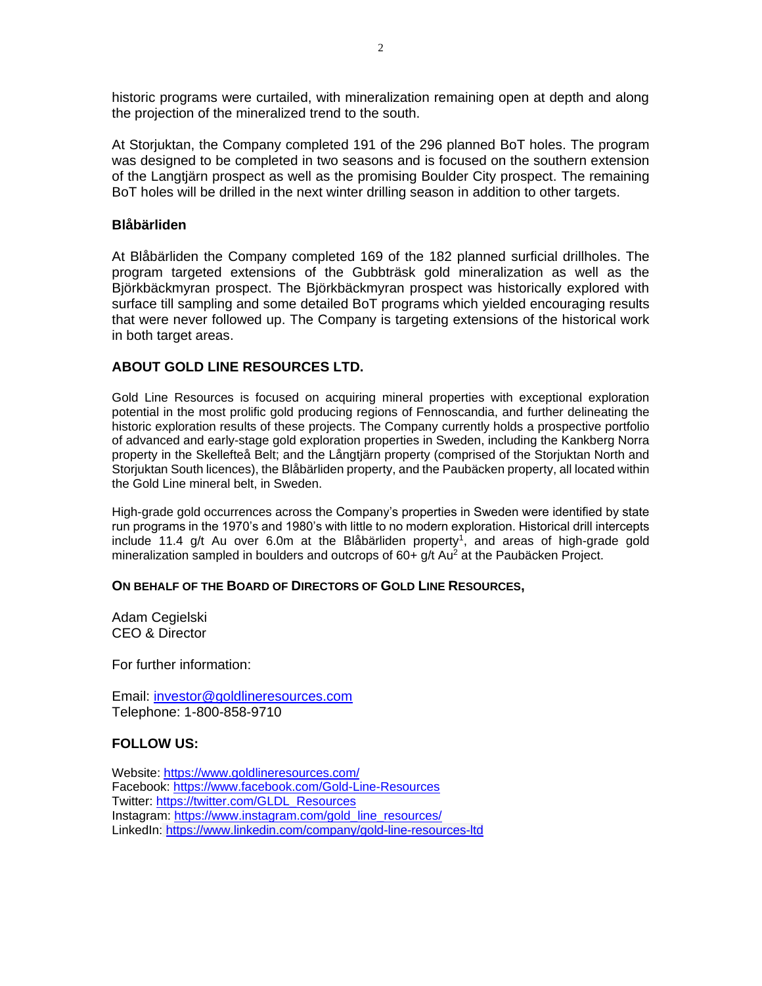historic programs were curtailed, with mineralization remaining open at depth and along the projection of the mineralized trend to the south.

At Storjuktan, the Company completed 191 of the 296 planned BoT holes. The program was designed to be completed in two seasons and is focused on the southern extension of the Langtjärn prospect as well as the promising Boulder City prospect. The remaining BoT holes will be drilled in the next winter drilling season in addition to other targets.

## **Blåbärliden**

At Blåbärliden the Company completed 169 of the 182 planned surficial drillholes. The program targeted extensions of the Gubbträsk gold mineralization as well as the Björkbäckmyran prospect. The Björkbäckmyran prospect was historically explored with surface till sampling and some detailed BoT programs which yielded encouraging results that were never followed up. The Company is targeting extensions of the historical work in both target areas.

# **ABOUT GOLD LINE RESOURCES LTD.**

Gold Line Resources is focused on acquiring mineral properties with exceptional exploration potential in the most prolific gold producing regions of Fennoscandia, and further delineating the historic exploration results of these projects. The Company currently holds a prospective portfolio of advanced and early-stage gold exploration properties in Sweden, including the Kankberg Norra property in the Skellefteå Belt; and the Långtjärn property (comprised of the Storjuktan North and Storjuktan South licences), the Blåbärliden property, and the Paubäcken property, all located within the Gold Line mineral belt, in Sweden.

High-grade gold occurrences across the Company's properties in Sweden were identified by state run programs in the 1970's and 1980's with little to no modern exploration. Historical drill intercepts include 11.4 g/t Au over 6.0m at the Blåbärliden property<sup>1</sup>, and areas of high-grade gold mineralization sampled in boulders and outcrops of  $60+*gt*$  Au<sup>2</sup> at the Paubäcken Project.

### **ON BEHALF OF THE BOARD OF DIRECTORS OF GOLD LINE RESOURCES,**

Adam Cegielski CEO & Director

For further information:

Email: [investor@goldlineresources.com](mailto:investor@goldlineresources.com) Telephone: 1-800-858-9710

### **FOLLOW US:**

Website:<https://www.goldlineresources.com/> Facebook:<https://www.facebook.com/Gold-Line-Resources> Twitter: [https://twitter.com/GLDL\\_Resources](https://twitter.com/GLDL_Resources) Instagram: [https://www.instagram.com/gold\\_line\\_resources/](https://www.instagram.com/gold_line_resources/) LinkedIn: <https://www.linkedin.com/company/gold-line-resources-ltd>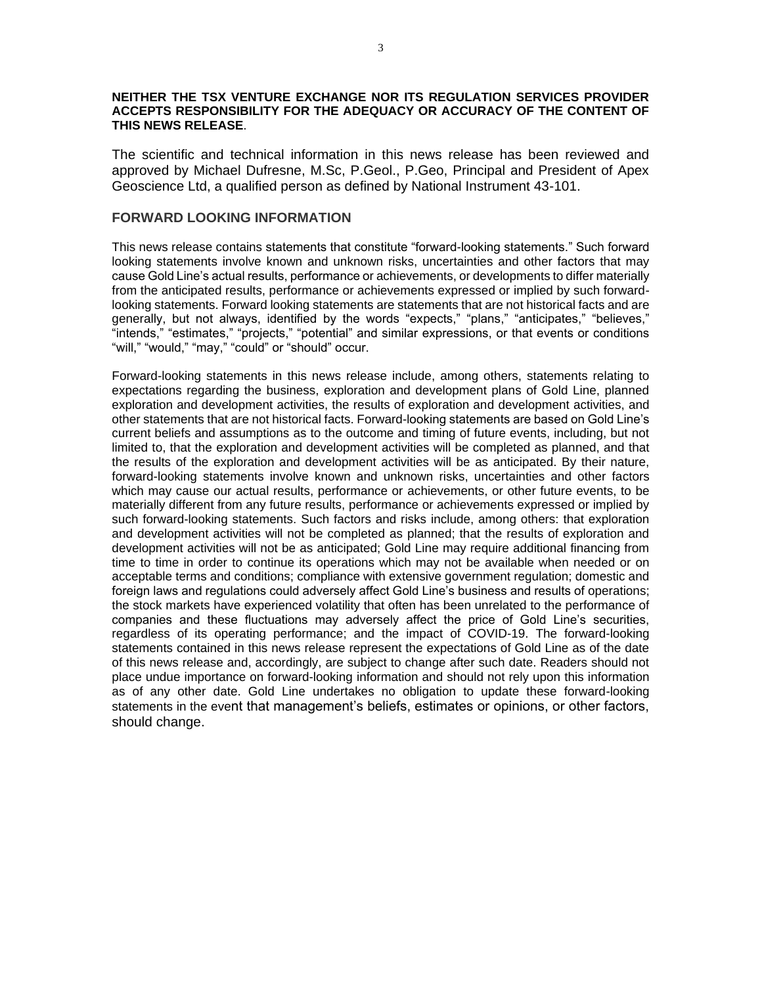#### **NEITHER THE TSX VENTURE EXCHANGE NOR ITS REGULATION SERVICES PROVIDER ACCEPTS RESPONSIBILITY FOR THE ADEQUACY OR ACCURACY OF THE CONTENT OF THIS NEWS RELEASE**.

The scientific and technical information in this news release has been reviewed and approved by Michael Dufresne, M.Sc, P.Geol., P.Geo, Principal and President of Apex Geoscience Ltd, a qualified person as defined by National Instrument 43-101.

#### **FORWARD LOOKING INFORMATION**

This news release contains statements that constitute "forward-looking statements." Such forward looking statements involve known and unknown risks, uncertainties and other factors that may cause Gold Line's actual results, performance or achievements, or developments to differ materially from the anticipated results, performance or achievements expressed or implied by such forwardlooking statements. Forward looking statements are statements that are not historical facts and are generally, but not always, identified by the words "expects," "plans," "anticipates," "believes," "intends," "estimates," "projects," "potential" and similar expressions, or that events or conditions "will," "would," "may," "could" or "should" occur.

Forward-looking statements in this news release include, among others, statements relating to expectations regarding the business, exploration and development plans of Gold Line, planned exploration and development activities, the results of exploration and development activities, and other statements that are not historical facts. Forward-looking statements are based on Gold Line's current beliefs and assumptions as to the outcome and timing of future events, including, but not limited to, that the exploration and development activities will be completed as planned, and that the results of the exploration and development activities will be as anticipated. By their nature, forward-looking statements involve known and unknown risks, uncertainties and other factors which may cause our actual results, performance or achievements, or other future events, to be materially different from any future results, performance or achievements expressed or implied by such forward-looking statements. Such factors and risks include, among others: that exploration and development activities will not be completed as planned; that the results of exploration and development activities will not be as anticipated; Gold Line may require additional financing from time to time in order to continue its operations which may not be available when needed or on acceptable terms and conditions; compliance with extensive government regulation; domestic and foreign laws and regulations could adversely affect Gold Line's business and results of operations; the stock markets have experienced volatility that often has been unrelated to the performance of companies and these fluctuations may adversely affect the price of Gold Line's securities, regardless of its operating performance; and the impact of COVID-19. The forward-looking statements contained in this news release represent the expectations of Gold Line as of the date of this news release and, accordingly, are subject to change after such date. Readers should not place undue importance on forward-looking information and should not rely upon this information as of any other date. Gold Line undertakes no obligation to update these forward-looking statements in the event that management's beliefs, estimates or opinions, or other factors, should change.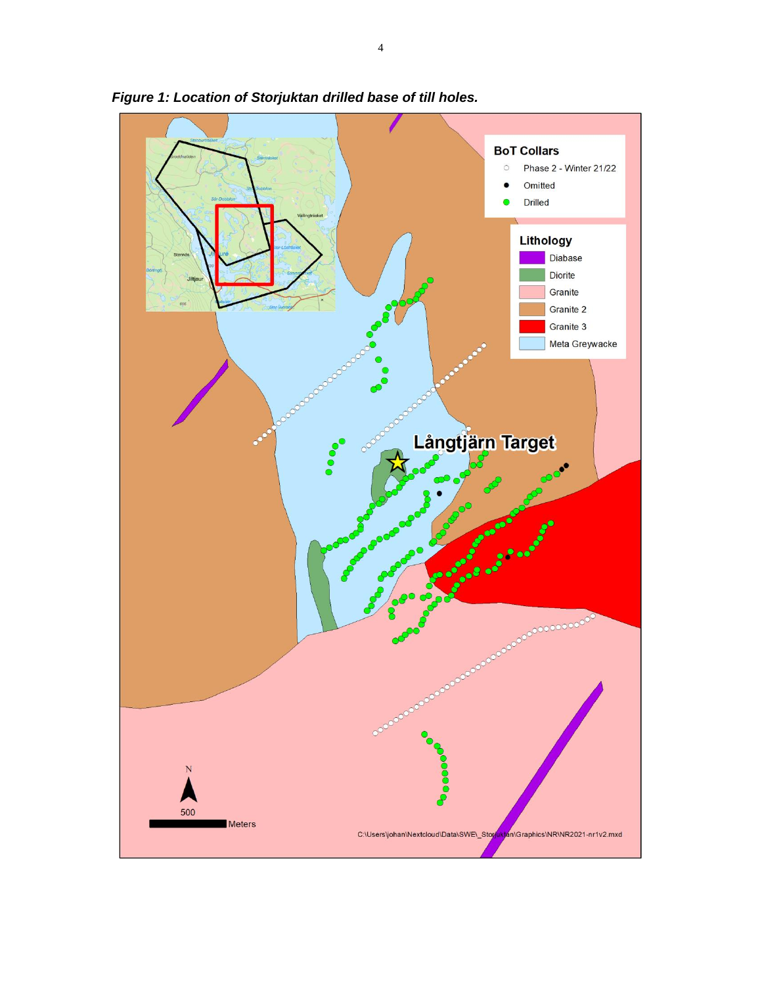

*Figure 1: Location of Storjuktan drilled base of till holes.*